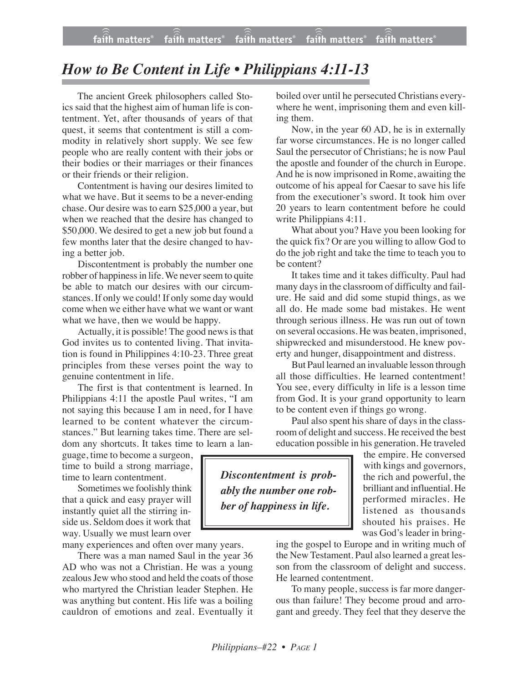## *How to Be Content in Life • Philippians 4:11-13*

The ancient Greek philosophers called Stoics said that the highest aim of human life is contentment. Yet, after thousands of years of that quest, it seems that contentment is still a commodity in relatively short supply. We see few people who are really content with their jobs or their bodies or their marriages or their finances or their friends or their religion.

Contentment is having our desires limited to what we have. But it seems to be a never-ending chase. Our desire was to earn \$25,000 a year, but when we reached that the desire has changed to \$50,000. We desired to get a new job but found a few months later that the desire changed to having a better job.

Discontentment is probably the number one robber of happiness in life. We never seem to quite be able to match our desires with our circumstances. If only we could! If only some day would come when we either have what we want or want what we have, then we would be happy.

Actually, it is possible! The good news is that God invites us to contented living. That invitation is found in Philippines 4:10-23. Three great principles from these verses point the way to genuine contentment in life.

The first is that contentment is learned. In Philippians 4:11 the apostle Paul writes, "I am not saying this because I am in need, for I have learned to be content whatever the circumstances." But learning takes time. There are seldom any shortcuts. It takes time to learn a lan-

guage, time to become a surgeon, time to build a strong marriage, time to learn contentment.

Sometimes we foolishly think that a quick and easy prayer will instantly quiet all the stirring inside us. Seldom does it work that way. Usually we must learn over

many experiences and often over many years.

There was a man named Saul in the year 36 AD who was not a Christian. He was a young zealous Jew who stood and held the coats of those who martyred the Christian leader Stephen. He was anything but content. His life was a boiling cauldron of emotions and zeal. Eventually it boiled over until he persecuted Christians everywhere he went, imprisoning them and even killing them.

Now, in the year 60 AD, he is in externally far worse circumstances. He is no longer called Saul the persecutor of Christians; he is now Paul the apostle and founder of the church in Europe. And he is now imprisoned in Rome, awaiting the outcome of his appeal for Caesar to save his life from the executioner's sword. It took him over 20 years to learn contentment before he could write Philippians 4:11.

What about you? Have you been looking for the quick fix? Or are you willing to allow God to do the job right and take the time to teach you to be content?

It takes time and it takes difficulty. Paul had many days in the classroom of difficulty and failure. He said and did some stupid things, as we all do. He made some bad mistakes. He went through serious illness. He was run out of town on several occasions. He was beaten, imprisoned, shipwrecked and misunderstood. He knew poverty and hunger, disappointment and distress.

But Paul learned an invaluable lesson through all those difficulties. He learned contentment! You see, every difficulty in life is a lesson time from God. It is your grand opportunity to learn to be content even if things go wrong.

Paul also spent his share of days in the classroom of delight and success. He received the best education possible in his generation. He traveled

*Discontentment is probably the number one robber of happiness in life.* with kings and governors,

the rich and powerful, the brilliant and influential. He performed miracles. He listened as thousands shouted his praises. He was God's leader in bring-

the empire. He conversed

ing the gospel to Europe and in writing much of the New Testament. Paul also learned a great lesson from the classroom of delight and success. He learned contentment.

To many people, success is far more dangerous than failure! They become proud and arrogant and greedy. They feel that they deserve the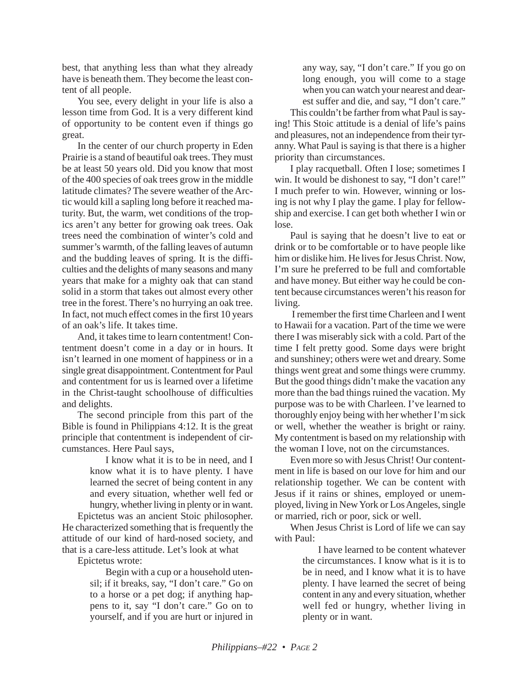best, that anything less than what they already have is beneath them. They become the least content of all people.

You see, every delight in your life is also a lesson time from God. It is a very different kind of opportunity to be content even if things go great.

In the center of our church property in Eden Prairie is a stand of beautiful oak trees. They must be at least 50 years old. Did you know that most of the 400 species of oak trees grow in the middle latitude climates? The severe weather of the Arctic would kill a sapling long before it reached maturity. But, the warm, wet conditions of the tropics aren't any better for growing oak trees. Oak trees need the combination of winter's cold and summer's warmth, of the falling leaves of autumn and the budding leaves of spring. It is the difficulties and the delights of many seasons and many years that make for a mighty oak that can stand solid in a storm that takes out almost every other tree in the forest. There's no hurrying an oak tree. In fact, not much effect comes in the first 10 years of an oak's life. It takes time.

And, it takes time to learn contentment! Contentment doesn't come in a day or in hours. It isn't learned in one moment of happiness or in a single great disappointment. Contentment for Paul and contentment for us is learned over a lifetime in the Christ-taught schoolhouse of difficulties and delights.

The second principle from this part of the Bible is found in Philippians 4:12. It is the great principle that contentment is independent of circumstances. Here Paul says,

> I know what it is to be in need, and I know what it is to have plenty. I have learned the secret of being content in any and every situation, whether well fed or hungry, whether living in plenty or in want.

Epictetus was an ancient Stoic philosopher. He characterized something that is frequently the attitude of our kind of hard-nosed society, and that is a care-less attitude. Let's look at what

Epictetus wrote:

Begin with a cup or a household utensil; if it breaks, say, "I don't care." Go on to a horse or a pet dog; if anything happens to it, say "I don't care." Go on to yourself, and if you are hurt or injured in

any way, say, "I don't care." If you go on long enough, you will come to a stage when you can watch your nearest and dearest suffer and die, and say, "I don't care."

This couldn't be farther from what Paul is saying! This Stoic attitude is a denial of life's pains and pleasures, not an independence from their tyranny. What Paul is saying is that there is a higher priority than circumstances.

I play racquetball. Often I lose; sometimes I win. It would be dishonest to say, "I don't care!" I much prefer to win. However, winning or losing is not why I play the game. I play for fellowship and exercise. I can get both whether I win or lose.

Paul is saying that he doesn't live to eat or drink or to be comfortable or to have people like him or dislike him. He lives for Jesus Christ. Now, I'm sure he preferred to be full and comfortable and have money. But either way he could be content because circumstances weren't his reason for living.

I remember the first time Charleen and I went to Hawaii for a vacation. Part of the time we were there I was miserably sick with a cold. Part of the time I felt pretty good. Some days were bright and sunshiney; others were wet and dreary. Some things went great and some things were crummy. But the good things didn't make the vacation any more than the bad things ruined the vacation. My purpose was to be with Charleen. I've learned to thoroughly enjoy being with her whether I'm sick or well, whether the weather is bright or rainy. My contentment is based on my relationship with the woman I love, not on the circumstances.

Even more so with Jesus Christ! Our contentment in life is based on our love for him and our relationship together. We can be content with Jesus if it rains or shines, employed or unemployed, living in New York or Los Angeles, single or married, rich or poor, sick or well.

When Jesus Christ is Lord of life we can say with Paul:

> I have learned to be content whatever the circumstances. I know what is it is to be in need, and I know what it is to have plenty. I have learned the secret of being content in any and every situation, whether well fed or hungry, whether living in plenty or in want.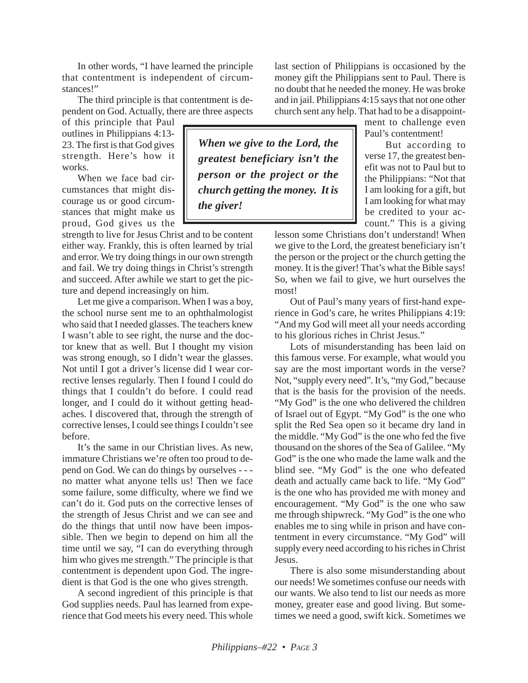In other words, "I have learned the principle that contentment is independent of circumstances!"

The third principle is that contentment is dependent on God. Actually, there are three aspects

of this principle that Paul outlines in Philippians 4:13- 23. The first is that God gives strength. Here's how it works.

When we face bad circumstances that might discourage us or good circumstances that might make us proud, God gives us the

strength to live for Jesus Christ and to be content either way. Frankly, this is often learned by trial and error. We try doing things in our own strength and fail. We try doing things in Christ's strength and succeed. After awhile we start to get the picture and depend increasingly on him.

Let me give a comparison. When I was a boy, the school nurse sent me to an ophthalmologist who said that I needed glasses. The teachers knew I wasn't able to see right, the nurse and the doctor knew that as well. But I thought my vision was strong enough, so I didn't wear the glasses. Not until I got a driver's license did I wear corrective lenses regularly. Then I found I could do things that I couldn't do before. I could read longer, and I could do it without getting headaches. I discovered that, through the strength of corrective lenses, I could see things I couldn't see before.

It's the same in our Christian lives. As new, immature Christians we're often too proud to depend on God. We can do things by ourselves - - no matter what anyone tells us! Then we face some failure, some difficulty, where we find we can't do it. God puts on the corrective lenses of the strength of Jesus Christ and we can see and do the things that until now have been impossible. Then we begin to depend on him all the time until we say, "I can do everything through him who gives me strength." The principle is that contentment is dependent upon God. The ingredient is that God is the one who gives strength.

A second ingredient of this principle is that God supplies needs. Paul has learned from experience that God meets his every need. This whole

*When we give to the Lord, the greatest beneficiary isn't the person or the project or the church getting the money. It is the giver!*

last section of Philippians is occasioned by the money gift the Philippians sent to Paul. There is no doubt that he needed the money. He was broke and in jail. Philippians 4:15 says that not one other church sent any help. That had to be a disappoint-

ment to challenge even Paul's contentment!

But according to verse 17, the greatest benefit was not to Paul but to the Philippians: "Not that I am looking for a gift, but I am looking for what may be credited to your account." This is a giving

lesson some Christians don't understand! When we give to the Lord, the greatest beneficiary isn't the person or the project or the church getting the money. It is the giver! That's what the Bible says! So, when we fail to give, we hurt ourselves the most!

Out of Paul's many years of first-hand experience in God's care, he writes Philippians 4:19: "And my God will meet all your needs according to his glorious riches in Christ Jesus."

Lots of misunderstanding has been laid on this famous verse. For example, what would you say are the most important words in the verse? Not, "supply every need". It's, "my God," because that is the basis for the provision of the needs. "My God" is the one who delivered the children of Israel out of Egypt. "My God" is the one who split the Red Sea open so it became dry land in the middle. "My God" is the one who fed the five thousand on the shores of the Sea of Galilee. "My God" is the one who made the lame walk and the blind see. "My God" is the one who defeated death and actually came back to life. "My God" is the one who has provided me with money and encouragement. "My God" is the one who saw me through shipwreck. "My God" is the one who enables me to sing while in prison and have contentment in every circumstance. "My God" will supply every need according to his riches in Christ Jesus.

There is also some misunderstanding about our needs! We sometimes confuse our needs with our wants. We also tend to list our needs as more money, greater ease and good living. But sometimes we need a good, swift kick. Sometimes we